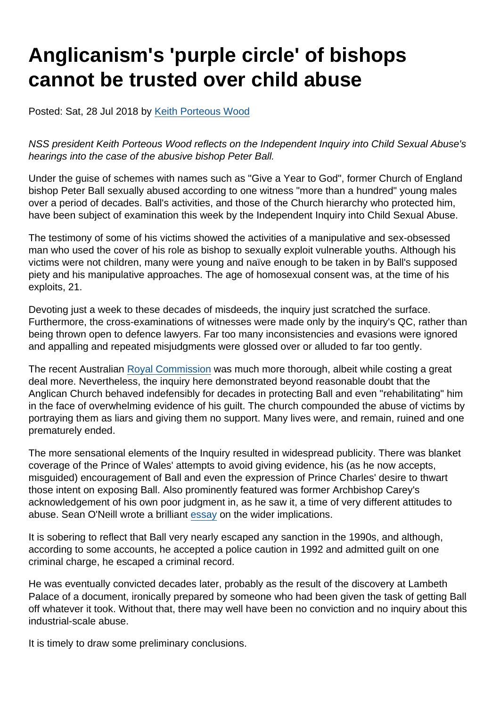## Anglicanism's 'purple circle' of bishops cannot be trusted over child abuse

Posted: Sat, 28 Jul 2018 by [Keith Porteous Wood](https://www.secularism.org.uk/opinion/authors/852)

NSS president Keith Porteous Wood reflects on the Independent Inquiry into Child Sexual Abuse's hearings into the case of the abusive bishop Peter Ball.

Under the guise of schemes with names such as "Give a Year to God", former Church of England bishop Peter Ball sexually abused according to one witness "more than a hundred" young males over a period of decades. Ball's activities, and those of the Church hierarchy who protected him, have been subject of examination this week by the Independent Inquiry into Child Sexual Abuse.

The testimony of some of his victims showed the activities of a manipulative and sex-obsessed man who used the cover of his role as bishop to sexually exploit vulnerable youths. Although his victims were not children, many were young and naïve enough to be taken in by Ball's supposed piety and his manipulative approaches. The age of homosexual consent was, at the time of his exploits, 21.

Devoting just a week to these decades of misdeeds, the inquiry just scratched the surface. Furthermore, the cross-examinations of witnesses were made only by the inquiry's QC, rather than being thrown open to defence lawyers. Far too many inconsistencies and evasions were ignored and appalling and repeated misjudgments were glossed over or alluded to far too gently.

The recent Australian [Royal Commission](https://www.childabuseroyalcommission.gov.au/) was much more thorough, albeit while costing a great deal more. Nevertheless, the inquiry here demonstrated beyond reasonable doubt that the Anglican Church behaved indefensibly for decades in protecting Ball and even "rehabilitating" him in the face of overwhelming evidence of his guilt. The church compounded the abuse of victims by portraying them as liars and giving them no support. Many lives were, and remain, ruined and one prematurely ended.

The more sensational elements of the Inquiry resulted in widespread publicity. There was blanket coverage of the Prince of Wales' attempts to avoid giving evidence, his (as he now accepts, misguided) encouragement of Ball and even the expression of Prince Charles' desire to thwart those intent on exposing Ball. Also prominently featured was former Archbishop Carey's acknowledgement of his own poor judgment in, as he saw it, a time of very different attitudes to abuse. Sean O'Neill wrote a brilliant [essay](https://www.thetimes.co.uk/edition/news/peter-ball-the-sinful-bishop-and-a-very-english-cover-up-23wwkdxvk) on the wider implications.

It is sobering to reflect that Ball very nearly escaped any sanction in the 1990s, and although, according to some accounts, he accepted a police caution in 1992 and admitted guilt on one criminal charge, he escaped a criminal record.

He was eventually convicted decades later, probably as the result of the discovery at Lambeth Palace of a document, ironically prepared by someone who had been given the task of getting Ball off whatever it took. Without that, there may well have been no conviction and no inquiry about this industrial-scale abuse.

It is timely to draw some preliminary conclusions.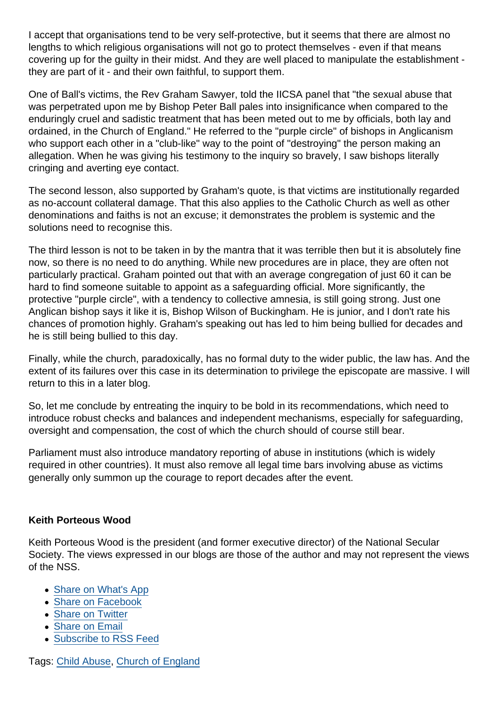I accept that organisations tend to be very self-protective, but it seems that there are almost no lengths to which religious organisations will not go to protect themselves - even if that means covering up for the guilty in their midst. And they are well placed to manipulate the establishment they are part of it - and their own faithful, to support them.

One of Ball's victims, the Rev Graham Sawyer, told the IICSA panel that "the sexual abuse that was perpetrated upon me by Bishop Peter Ball pales into insignificance when compared to the enduringly cruel and sadistic treatment that has been meted out to me by officials, both lay and ordained, in the Church of England." He referred to the "purple circle" of bishops in Anglicanism who support each other in a "club-like" way to the point of "destroying" the person making an allegation. When he was giving his testimony to the inquiry so bravely, I saw bishops literally cringing and averting eye contact.

The second lesson, also supported by Graham's quote, is that victims are institutionally regarded as no-account collateral damage. That this also applies to the Catholic Church as well as other denominations and faiths is not an excuse; it demonstrates the problem is systemic and the solutions need to recognise this.

The third lesson is not to be taken in by the mantra that it was terrible then but it is absolutely fine now, so there is no need to do anything. While new procedures are in place, they are often not particularly practical. Graham pointed out that with an average congregation of just 60 it can be hard to find someone suitable to appoint as a safeguarding official. More significantly, the protective "purple circle", with a tendency to collective amnesia, is still going strong. Just one Anglican bishop says it like it is, Bishop Wilson of Buckingham. He is junior, and I don't rate his chances of promotion highly. Graham's speaking out has led to him being bullied for decades and he is still being bullied to this day.

Finally, while the church, paradoxically, has no formal duty to the wider public, the law has. And the extent of its failures over this case in its determination to privilege the episcopate are massive. I will return to this in a later blog.

So, let me conclude by entreating the inquiry to be bold in its recommendations, which need to introduce robust checks and balances and independent mechanisms, especially for safeguarding, oversight and compensation, the cost of which the church should of course still bear.

Parliament must also introduce mandatory reporting of abuse in institutions (which is widely required in other countries). It must also remove all legal time bars involving abuse as victims generally only summon up the courage to report decades after the event.

## Keith Porteous Wood

Keith Porteous Wood is the president (and former executive director) of the National Secular Society. The views expressed in our blogs are those of the author and may not represent the views of the NSS.

- [Share on What's App](whatsapp://send?text=http://www.secularism.org.uk/opinion/2018/07/anglicanisms-purple-circle-of-bishops-cannot-be-trusted-over-child-abuse?format=pdf)
- [Share on Facebook](https://www.facebook.com/sharer/sharer.php?u=http://www.secularism.org.uk/opinion/2018/07/anglicanisms-purple-circle-of-bishops-cannot-be-trusted-over-child-abuse?format=pdf&t=Anglicanism)
- [Share on Twitter](https://twitter.com/intent/tweet?url=http://www.secularism.org.uk/opinion/2018/07/anglicanisms-purple-circle-of-bishops-cannot-be-trusted-over-child-abuse?format=pdf&text=Anglicanism)
- [Share on Email](https://www.secularism.org.uk/share.html?url=http://www.secularism.org.uk/opinion/2018/07/anglicanisms-purple-circle-of-bishops-cannot-be-trusted-over-child-abuse?format=pdf&title=Anglicanism)
- [Subscribe to RSS Feed](/mnt/web-data/www/cp-nss/feeds/rss/news)

Tags: [Child Abuse](https://www.secularism.org.uk/opinion/tags/Child+Abuse), [Church of England](https://www.secularism.org.uk/opinion/tags/Church+of+England)